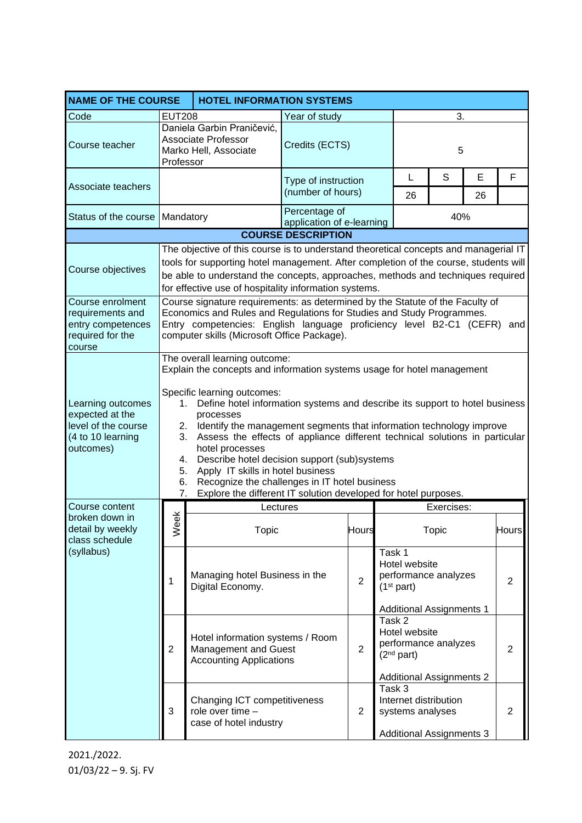|                                                                                               | <b>NAME OF THE COURSE</b><br><b>HOTEL INFORMATION SYSTEMS</b>                                                                                                                                                                                                                                                                                                                                                                                                                                                                                                                                                                                                 |                                                                                                                                                                                                                                                                                                                          |                                            |                |                                                                                                              |            |    |                |  |  |  |
|-----------------------------------------------------------------------------------------------|---------------------------------------------------------------------------------------------------------------------------------------------------------------------------------------------------------------------------------------------------------------------------------------------------------------------------------------------------------------------------------------------------------------------------------------------------------------------------------------------------------------------------------------------------------------------------------------------------------------------------------------------------------------|--------------------------------------------------------------------------------------------------------------------------------------------------------------------------------------------------------------------------------------------------------------------------------------------------------------------------|--------------------------------------------|----------------|--------------------------------------------------------------------------------------------------------------|------------|----|----------------|--|--|--|
| Code                                                                                          | <b>EUT208</b>                                                                                                                                                                                                                                                                                                                                                                                                                                                                                                                                                                                                                                                 |                                                                                                                                                                                                                                                                                                                          | Year of study                              |                |                                                                                                              |            |    |                |  |  |  |
| Course teacher                                                                                | Professor                                                                                                                                                                                                                                                                                                                                                                                                                                                                                                                                                                                                                                                     | Daniela Garbin Praničević,<br><b>Associate Professor</b><br>Marko Hell, Associate                                                                                                                                                                                                                                        | Credits (ECTS)                             |                |                                                                                                              | 5          |    |                |  |  |  |
| Associate teachers                                                                            |                                                                                                                                                                                                                                                                                                                                                                                                                                                                                                                                                                                                                                                               |                                                                                                                                                                                                                                                                                                                          | Type of instruction<br>(number of hours)   |                | L                                                                                                            | S          | E  | F              |  |  |  |
|                                                                                               |                                                                                                                                                                                                                                                                                                                                                                                                                                                                                                                                                                                                                                                               |                                                                                                                                                                                                                                                                                                                          |                                            |                | 26                                                                                                           |            | 26 |                |  |  |  |
| Status of the course   Mandatory                                                              |                                                                                                                                                                                                                                                                                                                                                                                                                                                                                                                                                                                                                                                               |                                                                                                                                                                                                                                                                                                                          | Percentage of<br>application of e-learning |                |                                                                                                              | 40%        |    |                |  |  |  |
| <b>COURSE DESCRIPTION</b>                                                                     |                                                                                                                                                                                                                                                                                                                                                                                                                                                                                                                                                                                                                                                               |                                                                                                                                                                                                                                                                                                                          |                                            |                |                                                                                                              |            |    |                |  |  |  |
| Course objectives                                                                             |                                                                                                                                                                                                                                                                                                                                                                                                                                                                                                                                                                                                                                                               | The objective of this course is to understand theoretical concepts and managerial IT<br>tools for supporting hotel management. After completion of the course, students will<br>be able to understand the concepts, approaches, methods and techniques required<br>for effective use of hospitality information systems. |                                            |                |                                                                                                              |            |    |                |  |  |  |
| Course enrolment<br>requirements and<br>entry competences<br>required for the<br>course       |                                                                                                                                                                                                                                                                                                                                                                                                                                                                                                                                                                                                                                                               | Course signature requirements: as determined by the Statute of the Faculty of<br>Economics and Rules and Regulations for Studies and Study Programmes.<br>Entry competencies: English language proficiency level B2-C1 (CEFR) and<br>computer skills (Microsoft Office Package).                                         |                                            |                |                                                                                                              |            |    |                |  |  |  |
| Learning outcomes<br>expected at the<br>level of the course<br>(4 to 10 learning<br>outcomes) | The overall learning outcome:<br>Explain the concepts and information systems usage for hotel management<br>Specific learning outcomes:<br>1. Define hotel information systems and describe its support to hotel business<br>processes<br>Identify the management segments that information technology improve<br>2.<br>Assess the effects of appliance different technical solutions in particular<br>3.<br>hotel processes<br>Describe hotel decision support (sub)systems<br>4.<br>Apply IT skills in hotel business<br>5.<br>Recognize the challenges in IT hotel business<br>6.<br>Explore the different IT solution developed for hotel purposes.<br>7. |                                                                                                                                                                                                                                                                                                                          |                                            |                |                                                                                                              |            |    |                |  |  |  |
| Course content                                                                                |                                                                                                                                                                                                                                                                                                                                                                                                                                                                                                                                                                                                                                                               | Lectures                                                                                                                                                                                                                                                                                                                 |                                            |                |                                                                                                              | Exercises: |    |                |  |  |  |
| broken down in<br>detail by weekly<br>class schedule                                          | eek<br>≳                                                                                                                                                                                                                                                                                                                                                                                                                                                                                                                                                                                                                                                      | Topic                                                                                                                                                                                                                                                                                                                    |                                            | Hours          |                                                                                                              | Topic      |    | ⊟ours∎         |  |  |  |
| (syllabus)                                                                                    | 1                                                                                                                                                                                                                                                                                                                                                                                                                                                                                                                                                                                                                                                             | Managing hotel Business in the<br>Digital Economy.                                                                                                                                                                                                                                                                       |                                            | $\overline{2}$ | Task 1<br>Hotel website<br>performance analyzes<br>(1 <sup>st</sup> part)<br><b>Additional Assignments 1</b> |            |    | $\overline{2}$ |  |  |  |
|                                                                                               | $\overline{2}$                                                                                                                                                                                                                                                                                                                                                                                                                                                                                                                                                                                                                                                | Hotel information systems / Room<br>Management and Guest<br><b>Accounting Applications</b>                                                                                                                                                                                                                               |                                            | $\overline{2}$ | Task 2<br>Hotel website<br>performance analyzes<br>(2 <sup>nd</sup> part)<br><b>Additional Assignments 2</b> |            |    | $\overline{2}$ |  |  |  |
| 3                                                                                             |                                                                                                                                                                                                                                                                                                                                                                                                                                                                                                                                                                                                                                                               | Changing ICT competitiveness<br>role over time -<br>case of hotel industry                                                                                                                                                                                                                                               |                                            | 2              | Task 3<br>Internet distribution<br>systems analyses<br><b>Additional Assignments 3</b>                       |            |    | $\overline{2}$ |  |  |  |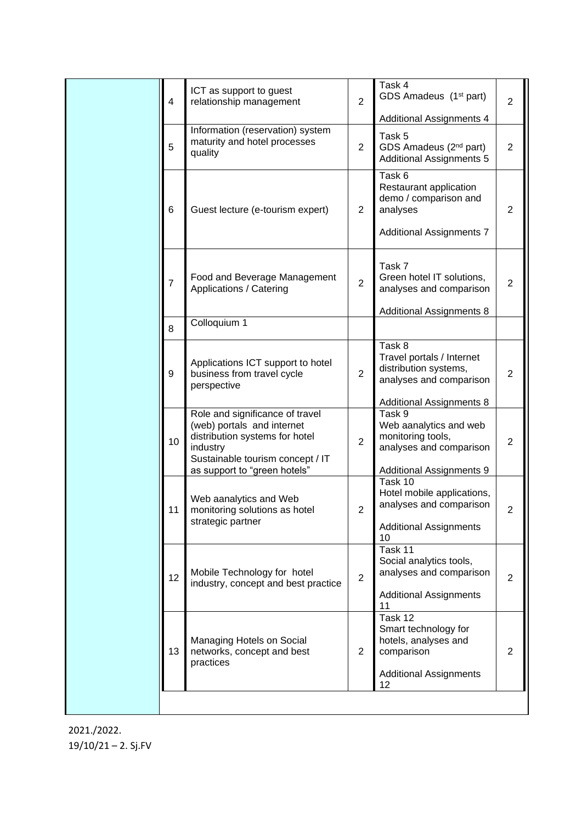|  | $\overline{4}$  | ICT as support to guest<br>relationship management                                                                                                                               |                | Task 4<br>GDS Amadeus (1 <sup>st</sup> part)                                                                                                           | $\overline{2}$ |
|--|-----------------|----------------------------------------------------------------------------------------------------------------------------------------------------------------------------------|----------------|--------------------------------------------------------------------------------------------------------------------------------------------------------|----------------|
|  |                 |                                                                                                                                                                                  |                | <b>Additional Assignments 4</b>                                                                                                                        |                |
|  | 5               | Information (reservation) system<br>Task 5<br>maturity and hotel processes<br>$\overline{2}$<br>GDS Amadeus (2 <sup>nd</sup> part)<br>quality<br><b>Additional Assignments 5</b> |                |                                                                                                                                                        | $\overline{2}$ |
|  | $6\phantom{1}6$ | Guest lecture (e-tourism expert)                                                                                                                                                 | $\overline{2}$ | Task 6<br>Restaurant application<br>demo / comparison and<br>analyses<br><b>Additional Assignments 7</b>                                               | $\overline{2}$ |
|  | $\overline{7}$  | Food and Beverage Management<br>Applications / Catering                                                                                                                          | $\overline{2}$ | Task 7<br>Green hotel IT solutions,<br>analyses and comparison<br><b>Additional Assignments 8</b>                                                      | $\overline{2}$ |
|  | 8               | Colloquium 1                                                                                                                                                                     |                |                                                                                                                                                        |                |
|  | 9               | Applications ICT support to hotel<br>business from travel cycle<br>perspective                                                                                                   | $\overline{2}$ | Task 8<br>Travel portals / Internet<br>distribution systems,<br>analyses and comparison                                                                | $\overline{2}$ |
|  | 10              | Role and significance of travel<br>(web) portals and internet<br>distribution systems for hotel<br>industry<br>Sustainable tourism concept / IT<br>as support to "green hotels"  | $\overline{2}$ | <b>Additional Assignments 8</b><br>Task 9<br>Web aanalytics and web<br>monitoring tools,<br>analyses and comparison<br><b>Additional Assignments 9</b> | $\overline{2}$ |
|  | 11              | Web aanalytics and Web<br>monitoring solutions as hotel<br>strategic partner                                                                                                     | $\overline{2}$ | Task 10<br>Hotel mobile applications,<br>analyses and comparison<br><b>Additional Assignments</b><br>10                                                | $\overline{2}$ |
|  | 12              | Mobile Technology for hotel<br>industry, concept and best practice                                                                                                               | $\overline{2}$ | Task 11<br>Social analytics tools,<br>analyses and comparison<br><b>Additional Assignments</b><br>11                                                   | $\overline{2}$ |
|  | 13              | Managing Hotels on Social<br>networks, concept and best<br>practices                                                                                                             | $\overline{2}$ | Task 12<br>Smart technology for<br>hotels, analyses and<br>comparison<br><b>Additional Assignments</b><br>12                                           | $\overline{2}$ |
|  |                 |                                                                                                                                                                                  |                |                                                                                                                                                        |                |

2021./2022. 19/10/21 – 2. Sj.FV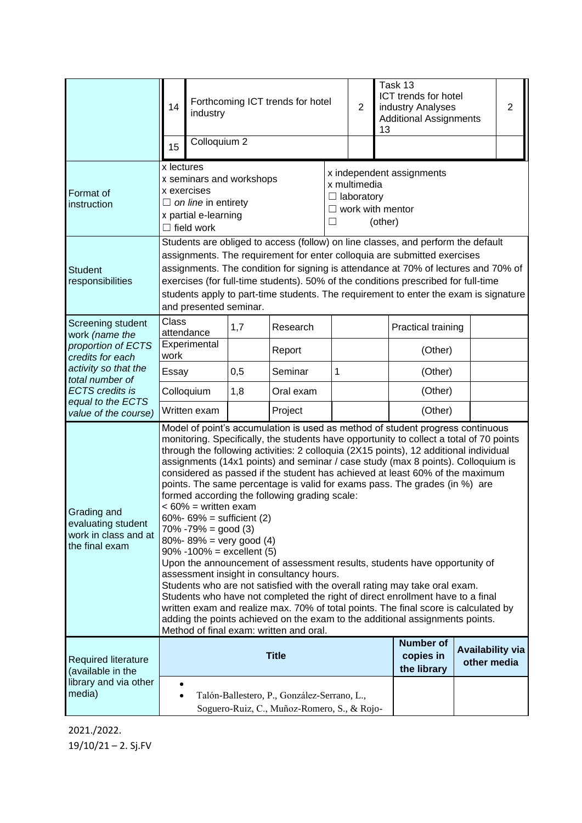|                                                                                                                                  | 14<br>15                                                                                                                                                                                                                                                                                                                                                                                                                                                                                                                                                                                                                                                                                                                                                                                                                                                                                                                                                                                                                                                                                                                                                                                                                                          | industry<br>Colloquium 2                                                                                                                                                                                                                                                                                                                                                                                                                                   |     | Forthcoming ICT trends for hotel |                                                                                                           | $\overline{2}$                               | 13                                     | Task 13<br>ICT trends for hotel<br>industry Analyses<br><b>Additional Assignments</b> |  | $\overline{2}$ |
|----------------------------------------------------------------------------------------------------------------------------------|---------------------------------------------------------------------------------------------------------------------------------------------------------------------------------------------------------------------------------------------------------------------------------------------------------------------------------------------------------------------------------------------------------------------------------------------------------------------------------------------------------------------------------------------------------------------------------------------------------------------------------------------------------------------------------------------------------------------------------------------------------------------------------------------------------------------------------------------------------------------------------------------------------------------------------------------------------------------------------------------------------------------------------------------------------------------------------------------------------------------------------------------------------------------------------------------------------------------------------------------------|------------------------------------------------------------------------------------------------------------------------------------------------------------------------------------------------------------------------------------------------------------------------------------------------------------------------------------------------------------------------------------------------------------------------------------------------------------|-----|----------------------------------|-----------------------------------------------------------------------------------------------------------|----------------------------------------------|----------------------------------------|---------------------------------------------------------------------------------------|--|----------------|
| Format of<br>instruction                                                                                                         | x lectures<br>x seminars and workshops<br>x exercises<br>$\Box$ on line in entirety<br>x partial e-learning<br>$\Box$ field work                                                                                                                                                                                                                                                                                                                                                                                                                                                                                                                                                                                                                                                                                                                                                                                                                                                                                                                                                                                                                                                                                                                  |                                                                                                                                                                                                                                                                                                                                                                                                                                                            |     |                                  | x independent assignments<br>x multimedia<br>$\Box$ laboratory<br>$\Box$ work with mentor<br>(other)<br>П |                                              |                                        |                                                                                       |  |                |
| <b>Student</b><br>responsibilities                                                                                               |                                                                                                                                                                                                                                                                                                                                                                                                                                                                                                                                                                                                                                                                                                                                                                                                                                                                                                                                                                                                                                                                                                                                                                                                                                                   | Students are obliged to access (follow) on line classes, and perform the default<br>assignments. The requirement for enter colloquia are submitted exercises<br>assignments. The condition for signing is attendance at 70% of lectures and 70% of<br>exercises (for full-time students). 50% of the conditions prescribed for full-time<br>students apply to part-time students. The requirement to enter the exam is signature<br>and presented seminar. |     |                                  |                                                                                                           |                                              |                                        |                                                                                       |  |                |
| Screening student<br>work (name the                                                                                              | <b>Class</b>                                                                                                                                                                                                                                                                                                                                                                                                                                                                                                                                                                                                                                                                                                                                                                                                                                                                                                                                                                                                                                                                                                                                                                                                                                      | attendance                                                                                                                                                                                                                                                                                                                                                                                                                                                 | 1,7 | Research                         |                                                                                                           |                                              |                                        | Practical training                                                                    |  |                |
| proportion of ECTS<br>credits for each<br>activity so that the<br>total number of<br><b>ECTS</b> credits is<br>equal to the ECTS | Experimental<br>work                                                                                                                                                                                                                                                                                                                                                                                                                                                                                                                                                                                                                                                                                                                                                                                                                                                                                                                                                                                                                                                                                                                                                                                                                              |                                                                                                                                                                                                                                                                                                                                                                                                                                                            |     | Report                           |                                                                                                           |                                              |                                        | (Other)                                                                               |  |                |
|                                                                                                                                  | Essay                                                                                                                                                                                                                                                                                                                                                                                                                                                                                                                                                                                                                                                                                                                                                                                                                                                                                                                                                                                                                                                                                                                                                                                                                                             |                                                                                                                                                                                                                                                                                                                                                                                                                                                            | 0,5 | Seminar                          | $\mathbf{1}$                                                                                              |                                              |                                        | (Other)                                                                               |  |                |
|                                                                                                                                  | Colloquium                                                                                                                                                                                                                                                                                                                                                                                                                                                                                                                                                                                                                                                                                                                                                                                                                                                                                                                                                                                                                                                                                                                                                                                                                                        |                                                                                                                                                                                                                                                                                                                                                                                                                                                            | 1,8 | Oral exam                        |                                                                                                           |                                              |                                        | (Other)                                                                               |  |                |
| value of the course)                                                                                                             | Written exam                                                                                                                                                                                                                                                                                                                                                                                                                                                                                                                                                                                                                                                                                                                                                                                                                                                                                                                                                                                                                                                                                                                                                                                                                                      |                                                                                                                                                                                                                                                                                                                                                                                                                                                            |     | Project                          |                                                                                                           |                                              |                                        | (Other)                                                                               |  |                |
| Grading and<br>evaluating student<br>work in class and at<br>the final exam                                                      | Model of point's accumulation is used as method of student progress continuous<br>monitoring. Specifically, the students have opportunity to collect a total of 70 points<br>through the following activities: 2 colloquia (2X15 points), 12 additional individual<br>assignments (14x1 points) and seminar / case study (max 8 points). Colloquium is<br>considered as passed if the student has achieved at least 60% of the maximum<br>points. The same percentage is valid for exams pass. The grades (in %) are<br>formed according the following grading scale:<br>$< 60\%$ = written exam<br>$60\% - 69\% =$ sufficient (2)<br>$70\% - 79\% = \text{good}(3)$<br>$80\% - 89\% =$ very good (4)<br>$90\% -100\% =$ excellent (5)<br>Upon the announcement of assessment results, students have opportunity of<br>assessment insight in consultancy hours.<br>Students who are not satisfied with the overall rating may take oral exam.<br>Students who have not completed the right of direct enrollment have to a final<br>written exam and realize max. 70% of total points. The final score is calculated by<br>adding the points achieved on the exam to the additional assignments points.<br>Method of final exam: written and oral. |                                                                                                                                                                                                                                                                                                                                                                                                                                                            |     |                                  |                                                                                                           |                                              |                                        |                                                                                       |  |                |
| <b>Required literature</b><br>(available in the<br>library and via other<br>media)                                               | <b>Title</b>                                                                                                                                                                                                                                                                                                                                                                                                                                                                                                                                                                                                                                                                                                                                                                                                                                                                                                                                                                                                                                                                                                                                                                                                                                      |                                                                                                                                                                                                                                                                                                                                                                                                                                                            |     |                                  |                                                                                                           | <b>Number of</b><br>copies in<br>the library | <b>Availability via</b><br>other media |                                                                                       |  |                |
|                                                                                                                                  | Talón-Ballestero, P., González-Serrano, L.,<br>Soguero-Ruiz, C., Muñoz-Romero, S., & Rojo-                                                                                                                                                                                                                                                                                                                                                                                                                                                                                                                                                                                                                                                                                                                                                                                                                                                                                                                                                                                                                                                                                                                                                        |                                                                                                                                                                                                                                                                                                                                                                                                                                                            |     |                                  |                                                                                                           |                                              |                                        |                                                                                       |  |                |

2021./2022. 19/10/21 – 2. Sj.FV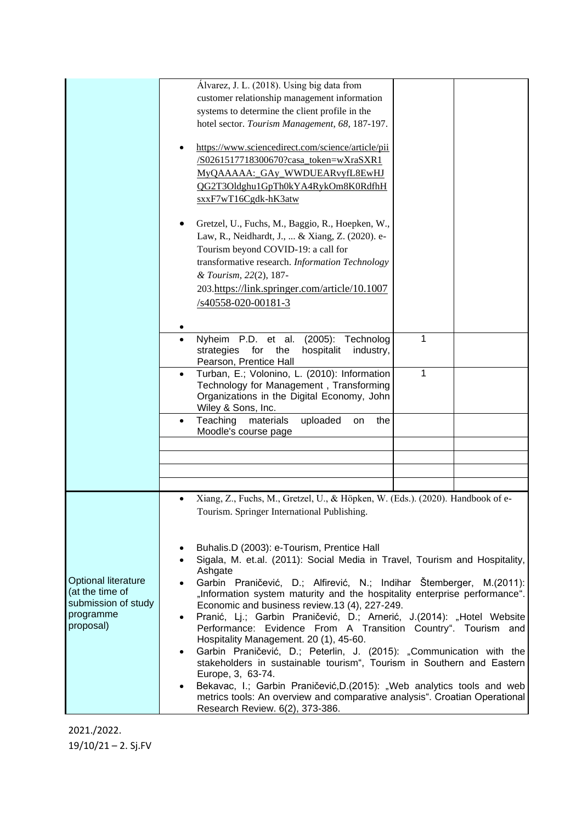|                     | Álvarez, J. L. (2018). Using big data from                                                                                 |   |  |
|---------------------|----------------------------------------------------------------------------------------------------------------------------|---|--|
|                     | customer relationship management information                                                                               |   |  |
|                     | systems to determine the client profile in the                                                                             |   |  |
|                     | hotel sector. Tourism Management, 68, 187-197.                                                                             |   |  |
|                     |                                                                                                                            |   |  |
|                     | https://www.sciencedirect.com/science/article/pii                                                                          |   |  |
|                     | /S0261517718300670?casa_token=wXraSXR1                                                                                     |   |  |
|                     | MyQAAAAA: GAy WWDUEARvyfL8EwHJ                                                                                             |   |  |
|                     | QG2T3Oldghu1GpTh0kYA4RykOm8K0RdfhH                                                                                         |   |  |
|                     | sxxF7wT16Cgdk-hK3atw                                                                                                       |   |  |
|                     |                                                                                                                            |   |  |
|                     | Gretzel, U., Fuchs, M., Baggio, R., Hoepken, W.,                                                                           |   |  |
|                     | Law, R., Neidhardt, J.,  & Xiang, Z. (2020). e-                                                                            |   |  |
|                     | Tourism beyond COVID-19: a call for                                                                                        |   |  |
|                     | transformative research. Information Technology                                                                            |   |  |
|                     | & Tourism, 22(2), 187-                                                                                                     |   |  |
|                     | 203.https://link.springer.com/article/10.1007                                                                              |   |  |
|                     | /s40558-020-00181-3                                                                                                        |   |  |
|                     |                                                                                                                            |   |  |
|                     |                                                                                                                            |   |  |
|                     | Nyheim P.D. et al.<br>$(2005)$ :<br>Technolog                                                                              | 1 |  |
|                     | strategies<br>for<br>the<br>hospitalit<br>industry,                                                                        |   |  |
|                     | Pearson, Prentice Hall                                                                                                     |   |  |
|                     | Turban, E.; Volonino, L. (2010): Information                                                                               | 1 |  |
|                     | Technology for Management, Transforming                                                                                    |   |  |
|                     | Organizations in the Digital Economy, John<br>Wiley & Sons, Inc.                                                           |   |  |
|                     | Teaching<br>materials<br>uploaded<br>the<br>on<br>$\bullet$                                                                |   |  |
|                     | Moodle's course page                                                                                                       |   |  |
|                     |                                                                                                                            |   |  |
|                     |                                                                                                                            |   |  |
|                     |                                                                                                                            |   |  |
|                     |                                                                                                                            |   |  |
|                     | Xiang, Z., Fuchs, M., Gretzel, U., & Höpken, W. (Eds.). (2020). Handbook of e-                                             |   |  |
|                     | Tourism. Springer International Publishing                                                                                 |   |  |
|                     |                                                                                                                            |   |  |
|                     |                                                                                                                            |   |  |
|                     | Buhalis.D (2003): e-Tourism, Prentice Hall                                                                                 |   |  |
|                     | Sigala, M. et.al. (2011): Social Media in Travel, Tourism and Hospitality,<br>$\bullet$                                    |   |  |
| Optional literature | Ashgate                                                                                                                    |   |  |
| (at the time of     | Garbin Praničević, D.; Alfirević, N.; Indihar Štemberger, M.(2011):                                                        |   |  |
| submission of study | "Information system maturity and the hospitality enterprise performance".<br>Economic and business review.13 (4), 227-249. |   |  |
| programme           | Pranić, Lj.; Garbin Praničević, D.; Arnerić, J.(2014): "Hotel Website<br>$\bullet$                                         |   |  |
| proposal)           | Performance: Evidence From A Transition Country". Tourism and                                                              |   |  |
|                     | Hospitality Management. 20 (1), 45-60.                                                                                     |   |  |
|                     | Garbin Praničević, D.; Peterlin, J. (2015): "Communication with the<br>$\bullet$                                           |   |  |
|                     | stakeholders in sustainable tourism", Tourism in Southern and Eastern                                                      |   |  |
|                     | Europe, 3, 63-74.                                                                                                          |   |  |
|                     | Bekavac, I.; Garbin Praničević, D. (2015): "Web analytics tools and web<br>$\bullet$                                       |   |  |
|                     | metrics tools: An overview and comparative analysis". Croatian Operational                                                 |   |  |
|                     | Research Review. 6(2), 373-386.                                                                                            |   |  |

2021./2022. 19/10/21 – 2. Sj.FV